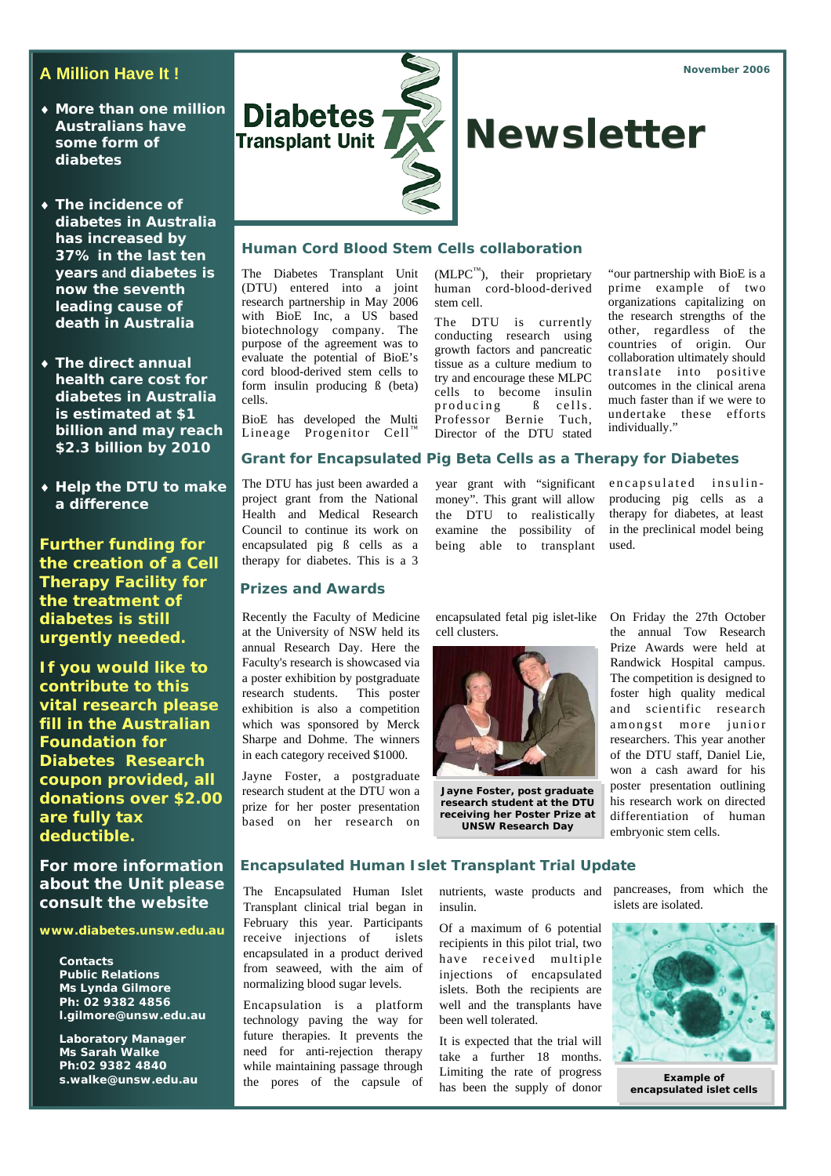- ♦ **More than one million Australians have some form of diabetes**
- ♦ **The incidence of diabetes in Australia has increased by 37% in the last ten years and diabetes is now the seventh leading cause of death in Australia**
- ♦ **The direct annual health care cost for diabetes in Australia is estimated at \$1 billion and may reach \$2.3 billion by 2010**
- ♦ **Help the DTU to make a difference**

**Further funding for the creation of a Cell Therapy Facility for the treatment of diabetes is still urgently needed.** 

**If you would like to contribute to this vital research please fill in the Australian Foundation for Diabetes Research coupon provided, all donations over \$2.00 are fully tax deductible.** 

**For more information about the Unit please consult the website** 

**www.diabetes.unsw.edu.au** 

**Contacts Public Relations Ms Lynda Gilmore Ph: 02 9382 4856 l.gilmore@unsw.edu.au** 

**Laboratory Manager Ms Sarah Walke Ph:02 9382 4840 s.walke@unsw.edu.au** 



# **Human Cord Blood Stem Cells collaboration**

The Diabetes Transplant Unit (DTU) entered into a joint research partnership in May 2006 with BioE Inc, a US based biotechnology company. The purpose of the agreement was to evaluate the potential of BioE's cord blood-derived stem cells to form insulin producing ß (beta) cells.

BioE has developed the Multi Lineage Progenitor Cell™

 $(MLPC<sup>TM</sup>)$ , their proprietary human cord-blood-derived stem cell.

The DTU is currently conducting research using growth factors and pancreatic tissue as a culture medium to try and encourage these MLPC cells to become insulin  $producting$   $B$  cells. Professor Bernie Tuch, Director of the DTU stated

year grant with "significant money". This grant will allow the DTU to realistically examine the possibility of being able to transplant

"our partnership with BioE is a prime example of two organizations capitalizing on the research strengths of the other, regardless of the countries of origin. Our collaboration ultimately should translate into positive outcomes in the clinical arena much faster than if we were to undertake these efforts individually."

# **Grant for Encapsulated Pig Beta Cells as a Therapy for Diabetes**

The DTU has just been awarded a project grant from the National Health and Medical Research Council to continue its work on encapsulated pig ß cells as a therapy for diabetes. This is a 3

## **Prizes and Awards**

Recently the Faculty of Medicine at the University of NSW held its annual Research Day. Here the Faculty's research is showcased via a poster exhibition by postgraduate research students. This poster exhibition is also a competition which was sponsored by Merck Sharpe and Dohme. The winners in each category received \$1000.

Jayne Foster, a postgraduate research student at the DTU won a prize for her poster presentation based on her research on

encapsulated fetal pig islet-like On Friday the 27th October cell clusters.



**Jayne Foster, post graduate research student at the DTU receiving her Poster Prize at UNSW Research Day** 

producing pig cells as a therapy for diabetes, at least in the preclinical model being used.

encapsulated insulin-

the annual Tow Research Prize Awards were held at Randwick Hospital campus. The competition is designed to foster high quality medical and scientific research amongst more junior researchers. This year another of the DTU staff, Daniel Lie, won a cash award for his poster presentation outlining his research work on directed differentiation of human embryonic stem cells.

### **Encapsulated Human Islet Transplant Trial Update**

The Encapsulated Human Islet Transplant clinical trial began in February this year. Participants receive injections of islets encapsulated in a product derived from seaweed, with the aim of normalizing blood sugar levels.

Encapsulation is a platform technology paving the way for future therapies. It prevents the need for anti-rejection therapy while maintaining passage through the pores of the capsule of insulin.

Of a maximum of 6 potential recipients in this pilot trial, two have received multiple injections of encapsulated islets. Both the recipients are well and the transplants have been well tolerated.

It is expected that the trial will take a further 18 months. Limiting the rate of progress has been the supply of donor

nutrients, waste products and pancreases, from which the islets are isolated.



**Example of encapsulated islet cells**